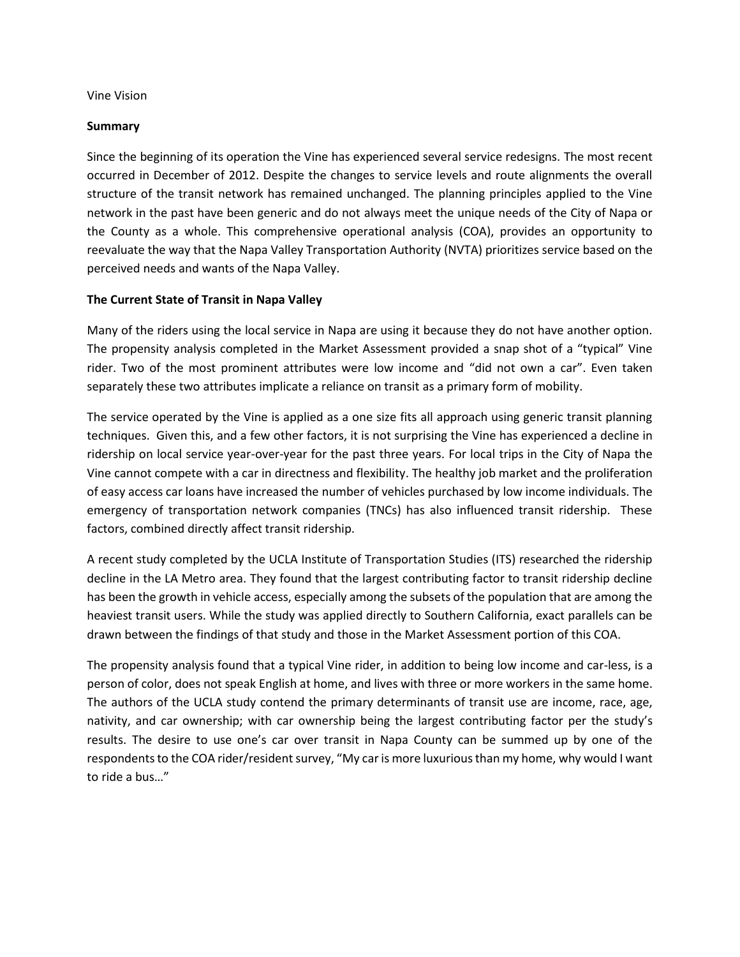#### Vine Vision

#### **Summary**

Since the beginning of its operation the Vine has experienced several service redesigns. The most recent occurred in December of 2012. Despite the changes to service levels and route alignments the overall structure of the transit network has remained unchanged. The planning principles applied to the Vine network in the past have been generic and do not always meet the unique needs of the City of Napa or the County as a whole. This comprehensive operational analysis (COA), provides an opportunity to reevaluate the way that the Napa Valley Transportation Authority (NVTA) prioritizes service based on the perceived needs and wants of the Napa Valley.

#### **The Current State of Transit in Napa Valley**

Many of the riders using the local service in Napa are using it because they do not have another option. The propensity analysis completed in the Market Assessment provided a snap shot of a "typical" Vine rider. Two of the most prominent attributes were low income and "did not own a car". Even taken separately these two attributes implicate a reliance on transit as a primary form of mobility.

The service operated by the Vine is applied as a one size fits all approach using generic transit planning techniques. Given this, and a few other factors, it is not surprising the Vine has experienced a decline in ridership on local service year-over-year for the past three years. For local trips in the City of Napa the Vine cannot compete with a car in directness and flexibility. The healthy job market and the proliferation of easy access car loans have increased the number of vehicles purchased by low income individuals. The emergency of transportation network companies (TNCs) has also influenced transit ridership. These factors, combined directly affect transit ridership.

A recent study completed by the UCLA Institute of Transportation Studies (ITS) researched the ridership decline in the LA Metro area. They found that the largest contributing factor to transit ridership decline has been the growth in vehicle access, especially among the subsets of the population that are among the heaviest transit users. While the study was applied directly to Southern California, exact parallels can be drawn between the findings of that study and those in the Market Assessment portion of this COA.

The propensity analysis found that a typical Vine rider, in addition to being low income and car-less, is a person of color, does not speak English at home, and lives with three or more workers in the same home. The authors of the UCLA study contend the primary determinants of transit use are income, race, age, nativity, and car ownership; with car ownership being the largest contributing factor per the study's results. The desire to use one's car over transit in Napa County can be summed up by one of the respondents to the COA rider/resident survey, "My car is more luxurious than my home, why would I want to ride a bus…"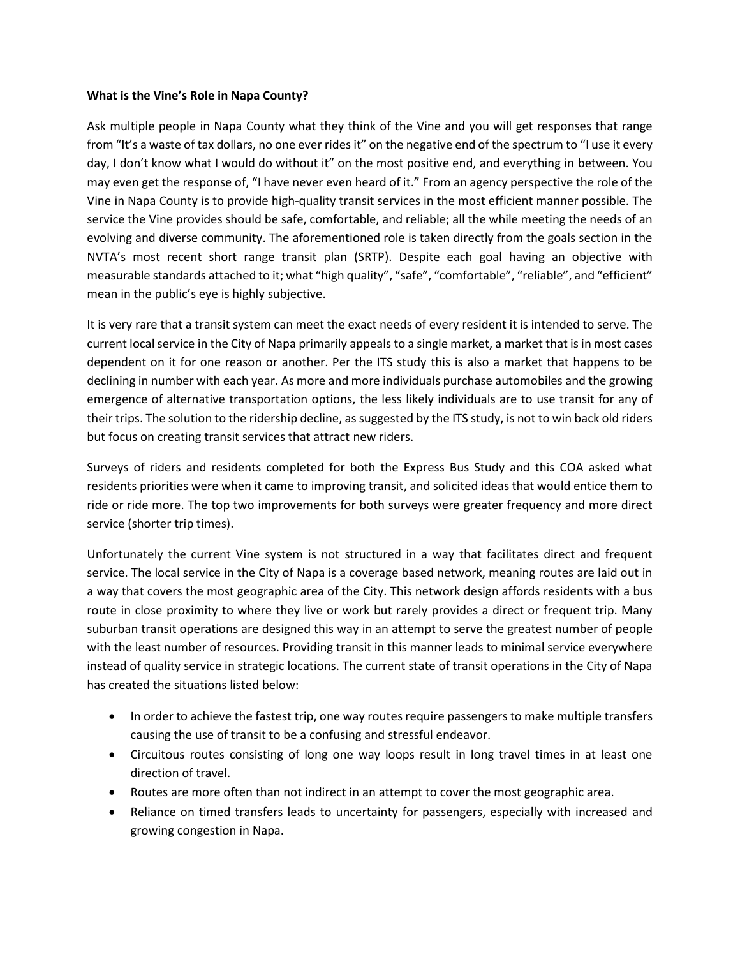#### **What is the Vine's Role in Napa County?**

Ask multiple people in Napa County what they think of the Vine and you will get responses that range from "It's a waste of tax dollars, no one ever rides it" on the negative end of the spectrum to "I use it every day, I don't know what I would do without it" on the most positive end, and everything in between. You may even get the response of, "I have never even heard of it." From an agency perspective the role of the Vine in Napa County is to provide high-quality transit services in the most efficient manner possible. The service the Vine provides should be safe, comfortable, and reliable; all the while meeting the needs of an evolving and diverse community. The aforementioned role is taken directly from the goals section in the NVTA's most recent short range transit plan (SRTP). Despite each goal having an objective with measurable standards attached to it; what "high quality", "safe", "comfortable", "reliable", and "efficient" mean in the public's eye is highly subjective.

It is very rare that a transit system can meet the exact needs of every resident it is intended to serve. The current local service in the City of Napa primarily appeals to a single market, a market that is in most cases dependent on it for one reason or another. Per the ITS study this is also a market that happens to be declining in number with each year. As more and more individuals purchase automobiles and the growing emergence of alternative transportation options, the less likely individuals are to use transit for any of their trips. The solution to the ridership decline, as suggested by the ITS study, is not to win back old riders but focus on creating transit services that attract new riders.

Surveys of riders and residents completed for both the Express Bus Study and this COA asked what residents priorities were when it came to improving transit, and solicited ideas that would entice them to ride or ride more. The top two improvements for both surveys were greater frequency and more direct service (shorter trip times).

Unfortunately the current Vine system is not structured in a way that facilitates direct and frequent service. The local service in the City of Napa is a coverage based network, meaning routes are laid out in a way that covers the most geographic area of the City. This network design affords residents with a bus route in close proximity to where they live or work but rarely provides a direct or frequent trip. Many suburban transit operations are designed this way in an attempt to serve the greatest number of people with the least number of resources. Providing transit in this manner leads to minimal service everywhere instead of quality service in strategic locations. The current state of transit operations in the City of Napa has created the situations listed below:

- In order to achieve the fastest trip, one way routes require passengers to make multiple transfers causing the use of transit to be a confusing and stressful endeavor.
- Circuitous routes consisting of long one way loops result in long travel times in at least one direction of travel.
- Routes are more often than not indirect in an attempt to cover the most geographic area.
- Reliance on timed transfers leads to uncertainty for passengers, especially with increased and growing congestion in Napa.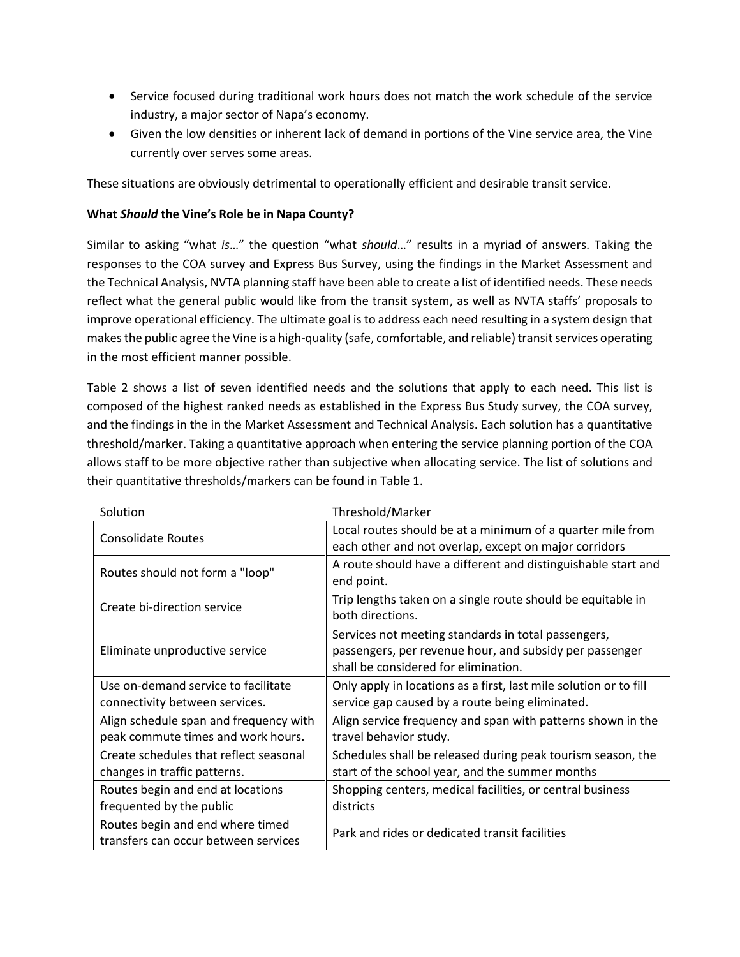- Service focused during traditional work hours does not match the work schedule of the service industry, a major sector of Napa's economy.
- Given the low densities or inherent lack of demand in portions of the Vine service area, the Vine currently over serves some areas.

These situations are obviously detrimental to operationally efficient and desirable transit service.

#### **What** *Should* **the Vine's Role be in Napa County?**

Similar to asking "what *is*…" the question "what *should*…" results in a myriad of answers. Taking the responses to the COA survey and Express Bus Survey, using the findings in the Market Assessment and the Technical Analysis, NVTA planning staff have been able to create a list of identified needs. These needs reflect what the general public would like from the transit system, as well as NVTA staffs' proposals to improve operational efficiency. The ultimate goal is to address each need resulting in a system design that makes the public agree the Vine is a high-quality (safe, comfortable, and reliable) transit services operating in the most efficient manner possible.

Table 2 shows a list of seven identified needs and the solutions that apply to each need. This list is composed of the highest ranked needs as established in the Express Bus Study survey, the COA survey, and the findings in the in the Market Assessment and Technical Analysis. Each solution has a quantitative threshold/marker. Taking a quantitative approach when entering the service planning portion of the COA allows staff to be more objective rather than subjective when allocating service. The list of solutions and their quantitative thresholds/markers can be found in Table 1.

| Solution                               | Threshold/Marker                                                  |
|----------------------------------------|-------------------------------------------------------------------|
| <b>Consolidate Routes</b>              | Local routes should be at a minimum of a quarter mile from        |
|                                        | each other and not overlap, except on major corridors             |
| Routes should not form a "loop"        | A route should have a different and distinguishable start and     |
|                                        | end point.                                                        |
| Create bi-direction service            | Trip lengths taken on a single route should be equitable in       |
|                                        | both directions.                                                  |
|                                        | Services not meeting standards in total passengers,               |
| Eliminate unproductive service         | passengers, per revenue hour, and subsidy per passenger           |
|                                        | shall be considered for elimination.                              |
| Use on-demand service to facilitate    | Only apply in locations as a first, last mile solution or to fill |
| connectivity between services.         | service gap caused by a route being eliminated.                   |
| Align schedule span and frequency with | Align service frequency and span with patterns shown in the       |
| peak commute times and work hours.     | travel behavior study.                                            |
| Create schedules that reflect seasonal | Schedules shall be released during peak tourism season, the       |
| changes in traffic patterns.           | start of the school year, and the summer months                   |
| Routes begin and end at locations      | Shopping centers, medical facilities, or central business         |
| frequented by the public               | districts                                                         |
| Routes begin and end where timed       |                                                                   |
| transfers can occur between services   | Park and rides or dedicated transit facilities                    |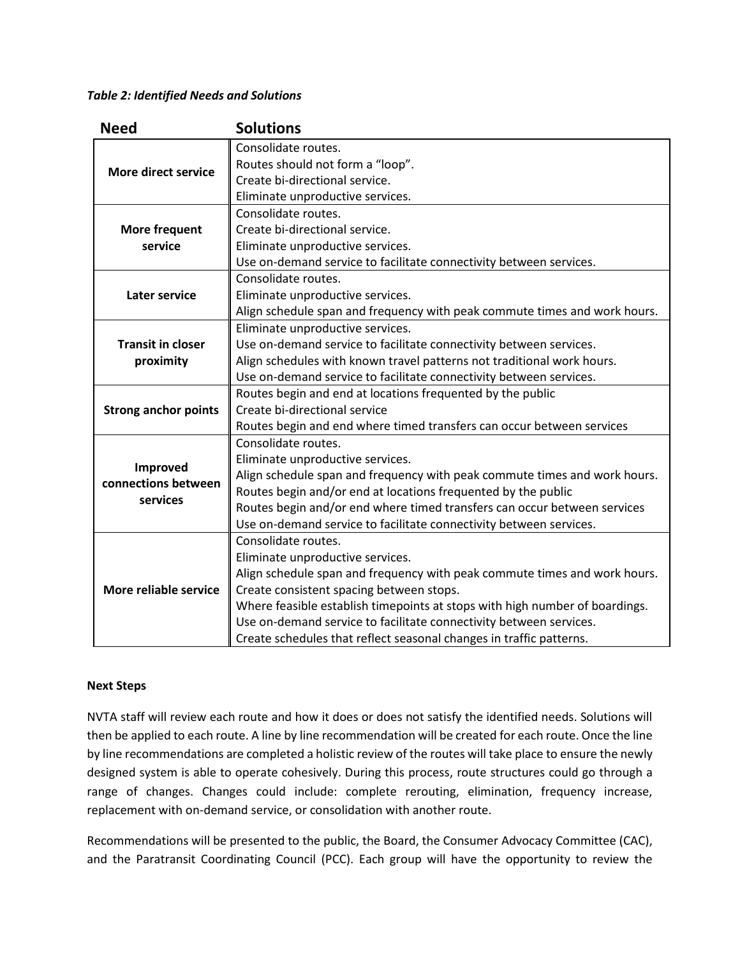#### *Table 2: Identified Needs and Solutions*

| <b>Need</b>                 | <b>Solutions</b>                                                            |
|-----------------------------|-----------------------------------------------------------------------------|
|                             | Consolidate routes.                                                         |
| More direct service         | Routes should not form a "loop".                                            |
|                             | Create bi-directional service.                                              |
|                             | Eliminate unproductive services.                                            |
|                             | Consolidate routes.                                                         |
| More frequent               | Create bi-directional service.                                              |
| service                     | Eliminate unproductive services.                                            |
|                             | Use on-demand service to facilitate connectivity between services.          |
|                             | Consolidate routes.                                                         |
| <b>Later service</b>        | Eliminate unproductive services.                                            |
|                             | Align schedule span and frequency with peak commute times and work hours.   |
|                             | Eliminate unproductive services.                                            |
| <b>Transit in closer</b>    | Use on-demand service to facilitate connectivity between services.          |
| proximity                   | Align schedules with known travel patterns not traditional work hours.      |
|                             | Use on-demand service to facilitate connectivity between services.          |
|                             | Routes begin and end at locations frequented by the public                  |
| <b>Strong anchor points</b> | Create bi-directional service                                               |
|                             | Routes begin and end where timed transfers can occur between services       |
|                             | Consolidate routes.                                                         |
| Improved                    | Eliminate unproductive services.                                            |
| connections between         | Align schedule span and frequency with peak commute times and work hours.   |
| services                    | Routes begin and/or end at locations frequented by the public               |
|                             | Routes begin and/or end where timed transfers can occur between services    |
|                             | Use on-demand service to facilitate connectivity between services.          |
|                             | Consolidate routes.                                                         |
|                             | Eliminate unproductive services.                                            |
|                             | Align schedule span and frequency with peak commute times and work hours.   |
| More reliable service       | Create consistent spacing between stops.                                    |
|                             | Where feasible establish timepoints at stops with high number of boardings. |
|                             | Use on-demand service to facilitate connectivity between services.          |
|                             | Create schedules that reflect seasonal changes in traffic patterns.         |

#### **Next Steps**

NVTA staff will review each route and how it does or does not satisfy the identified needs. Solutions will then be applied to each route. A line by line recommendation will be created for each route. Once the line by line recommendations are completed a holistic review of the routes will take place to ensure the newly designed system is able to operate cohesively. During this process, route structures could go through a range of changes. Changes could include: complete rerouting, elimination, frequency increase, replacement with on-demand service, or consolidation with another route.

Recommendations will be presented to the public, the Board, the Consumer Advocacy Committee (CAC), and the Paratransit Coordinating Council (PCC). Each group will have the opportunity to review the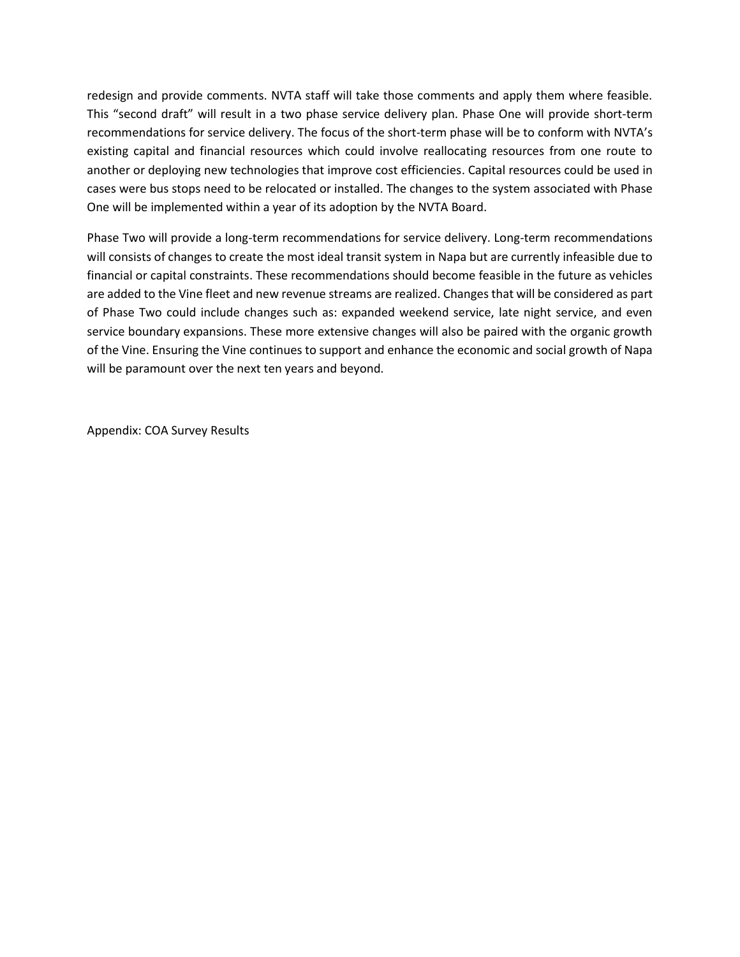redesign and provide comments. NVTA staff will take those comments and apply them where feasible. This "second draft" will result in a two phase service delivery plan. Phase One will provide short-term recommendations for service delivery. The focus of the short-term phase will be to conform with NVTA's existing capital and financial resources which could involve reallocating resources from one route to another or deploying new technologies that improve cost efficiencies. Capital resources could be used in cases were bus stops need to be relocated or installed. The changes to the system associated with Phase One will be implemented within a year of its adoption by the NVTA Board.

Phase Two will provide a long-term recommendations for service delivery. Long-term recommendations will consists of changes to create the most ideal transit system in Napa but are currently infeasible due to financial or capital constraints. These recommendations should become feasible in the future as vehicles are added to the Vine fleet and new revenue streams are realized. Changes that will be considered as part of Phase Two could include changes such as: expanded weekend service, late night service, and even service boundary expansions. These more extensive changes will also be paired with the organic growth of the Vine. Ensuring the Vine continues to support and enhance the economic and social growth of Napa will be paramount over the next ten years and beyond.

Appendix: COA Survey Results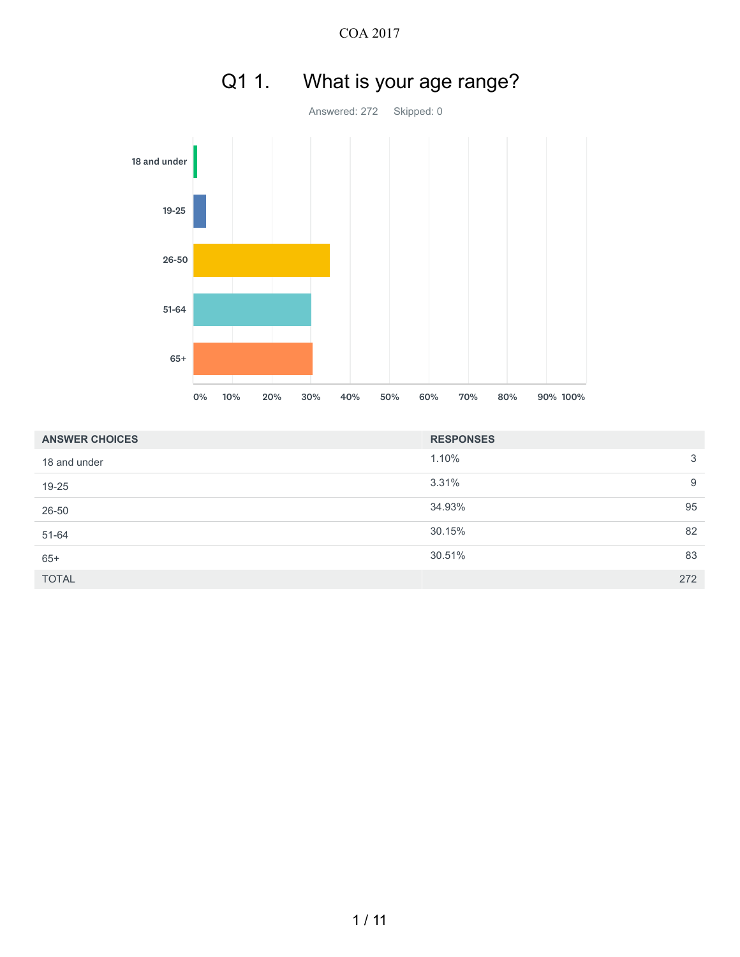

| <b>ANSWER CHOICES</b> | <b>RESPONSES</b> |     |
|-----------------------|------------------|-----|
| 18 and under          | 1.10%            | 3   |
| 19-25                 | 3.31%            | 9   |
| 26-50                 | 34.93%           | 95  |
| 51-64                 | 30.15%           | 82  |
| $65+$                 | 30.51%           | 83  |
| <b>TOTAL</b>          |                  | 272 |

# Q1 1. What is your age range?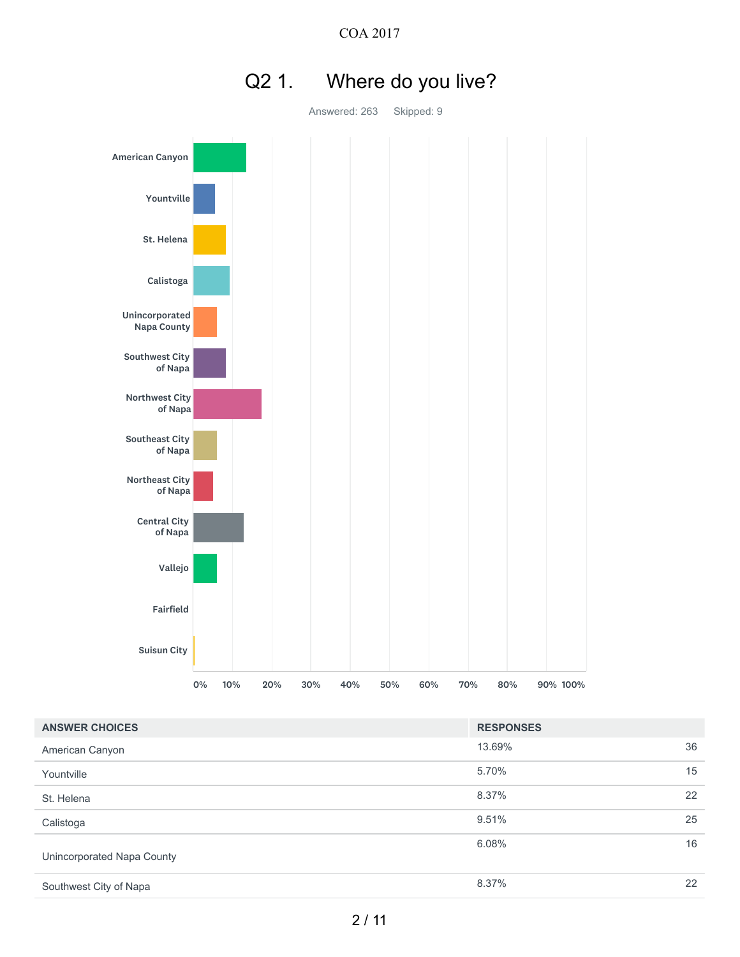

# Q2 1. Where do you live?

Answered: 263 Skipped: 9

| <b>ANSWER CHOICES</b>      | <b>RESPONSES</b> |    |
|----------------------------|------------------|----|
| American Canyon            | 13.69%           | 36 |
| Yountville                 | 5.70%            | 15 |
| St. Helena                 | 8.37%            | 22 |
| Calistoga                  | 9.51%            | 25 |
| Unincorporated Napa County | 6.08%            | 16 |
| Southwest City of Napa     | 8.37%            | 22 |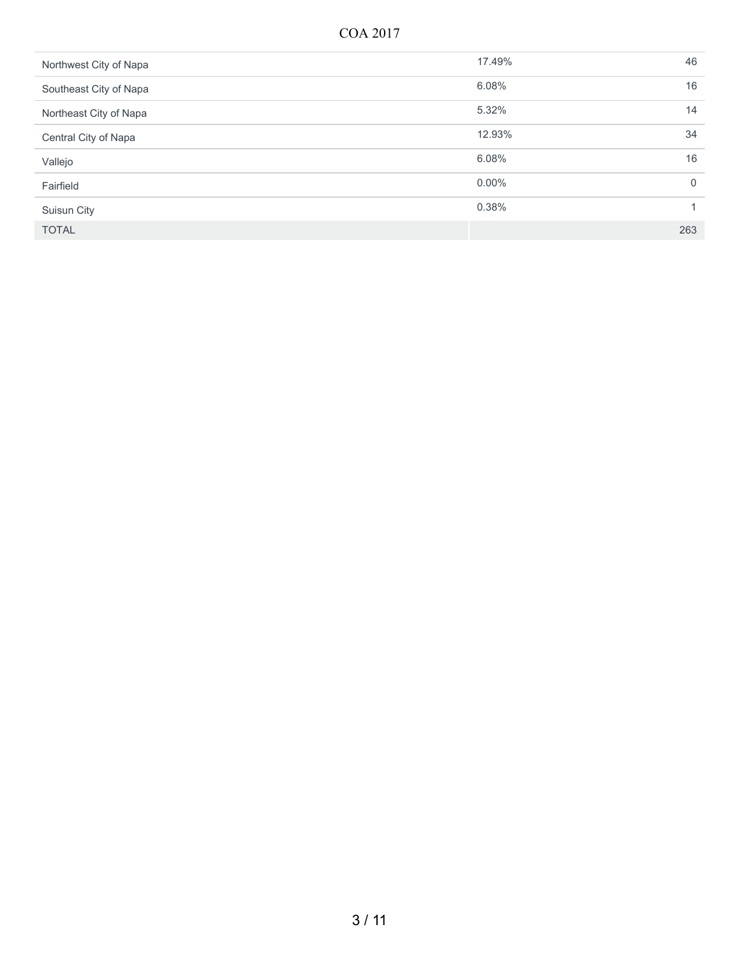| Northwest City of Napa | 17.49%   | 46  |
|------------------------|----------|-----|
| Southeast City of Napa | 6.08%    | 16  |
| Northeast City of Napa | 5.32%    | 14  |
| Central City of Napa   | 12.93%   | 34  |
| Vallejo                | 6.08%    | 16  |
| Fairfield              | $0.00\%$ | 0   |
| Suisun City            | 0.38%    |     |
| <b>TOTAL</b>           |          | 263 |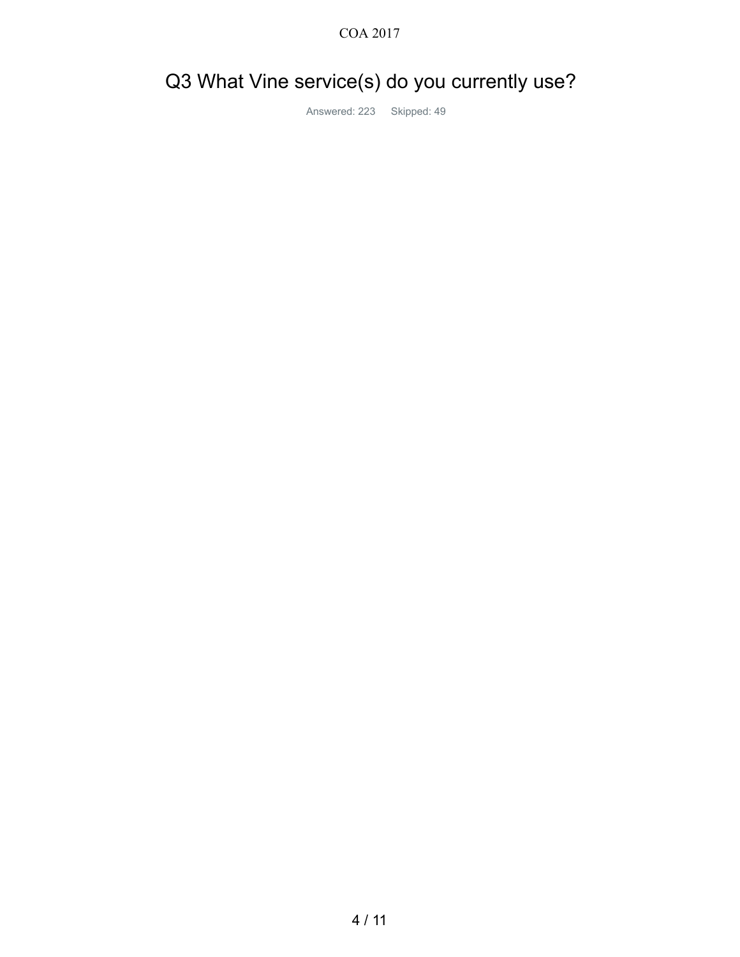### Q3 What Vine service(s) do you currently use?

Answered: 223 Skipped: 49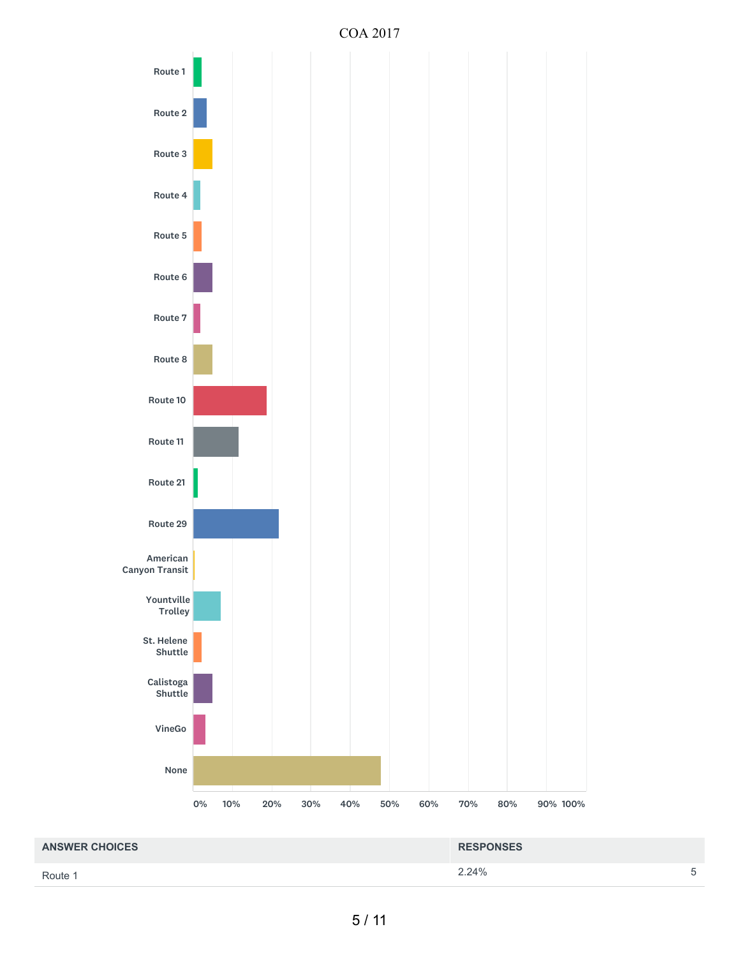

Route 1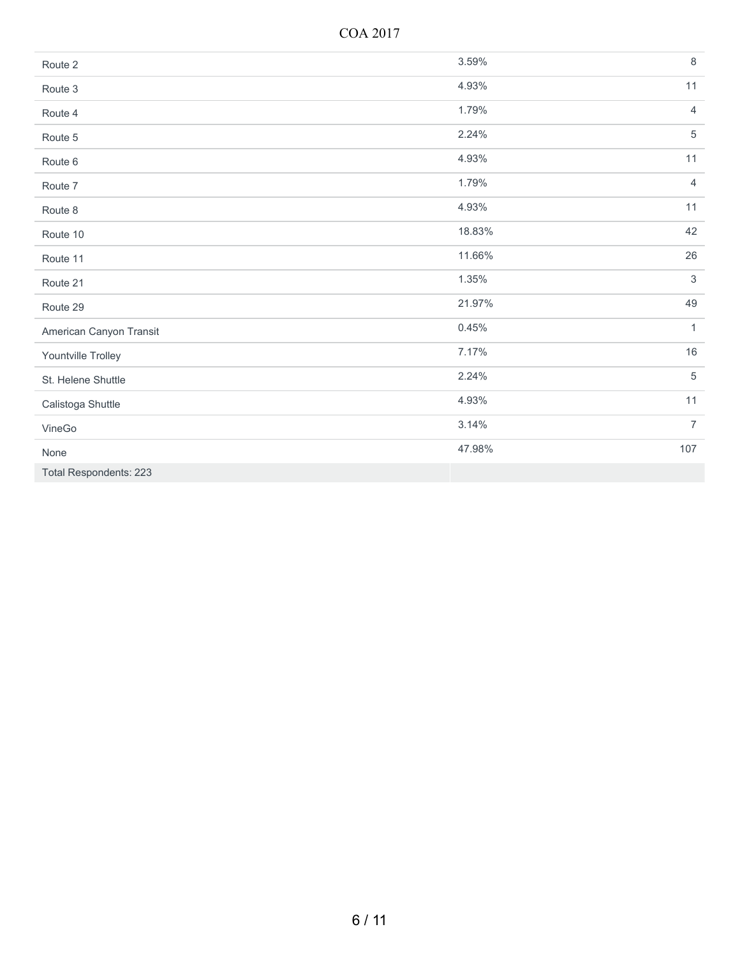COA 2017

| Route 2                       | 3.59%  | $\,8\,$        |
|-------------------------------|--------|----------------|
| Route 3                       | 4.93%  | 11             |
| Route 4                       | 1.79%  | $\overline{4}$ |
| Route 5                       | 2.24%  | $\overline{5}$ |
| Route 6                       | 4.93%  | 11             |
| Route 7                       | 1.79%  | $\overline{4}$ |
| Route 8                       | 4.93%  | 11             |
| Route 10                      | 18.83% | 42             |
| Route 11                      | 11.66% | 26             |
| Route 21                      | 1.35%  | $\mathfrak{S}$ |
| Route 29                      | 21.97% | 49             |
| American Canyon Transit       | 0.45%  | $\mathbf{1}$   |
| Yountville Trolley            | 7.17%  | 16             |
| St. Helene Shuttle            | 2.24%  | $\overline{5}$ |
| Calistoga Shuttle             | 4.93%  | 11             |
| VineGo                        | 3.14%  | $\overline{7}$ |
| None                          | 47.98% | 107            |
| <b>Total Respondents: 223</b> |        |                |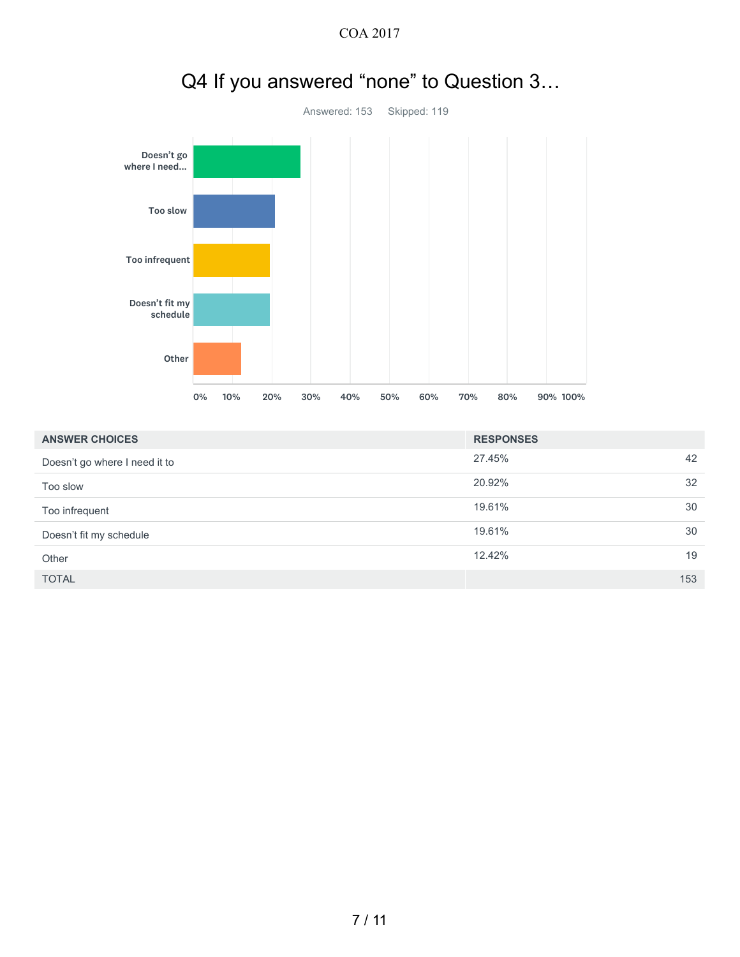

# Q4 If you answered "none" to Question 3…

| <b>ANSWER CHOICES</b>         | <b>RESPONSES</b> |     |
|-------------------------------|------------------|-----|
| Doesn't go where I need it to | 27.45%           | 42  |
| Too slow                      | 20.92%           | 32  |
| Too infrequent                | 19.61%           | 30  |
| Doesn't fit my schedule       | 19.61%           | 30  |
| Other                         | 12.42%           | 19  |
| <b>TOTAL</b>                  |                  | 153 |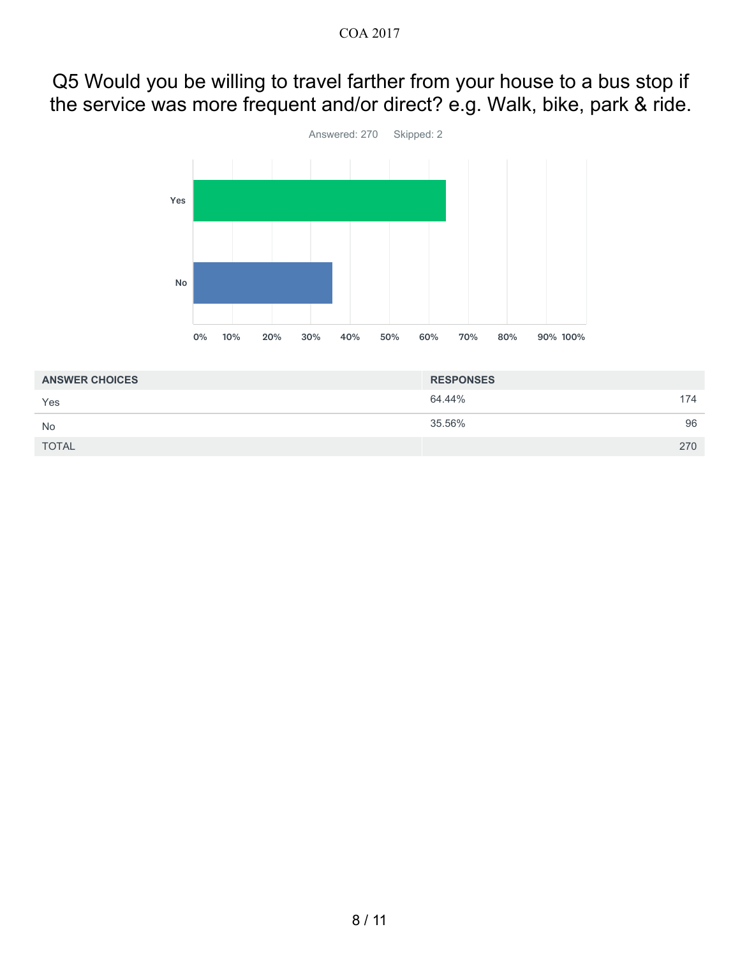### Q5 Would you be willing to travel farther from your house to a bus stop if the service was more frequent and/or direct? e.g. Walk, bike, park & ride.



| <b>ANSWER CHOICES</b> | <b>RESPONSES</b> |     |
|-----------------------|------------------|-----|
| Yes                   | 64.44%           | 174 |
| <b>No</b>             | 35.56%           | 96  |
| <b>TOTAL</b>          |                  | 270 |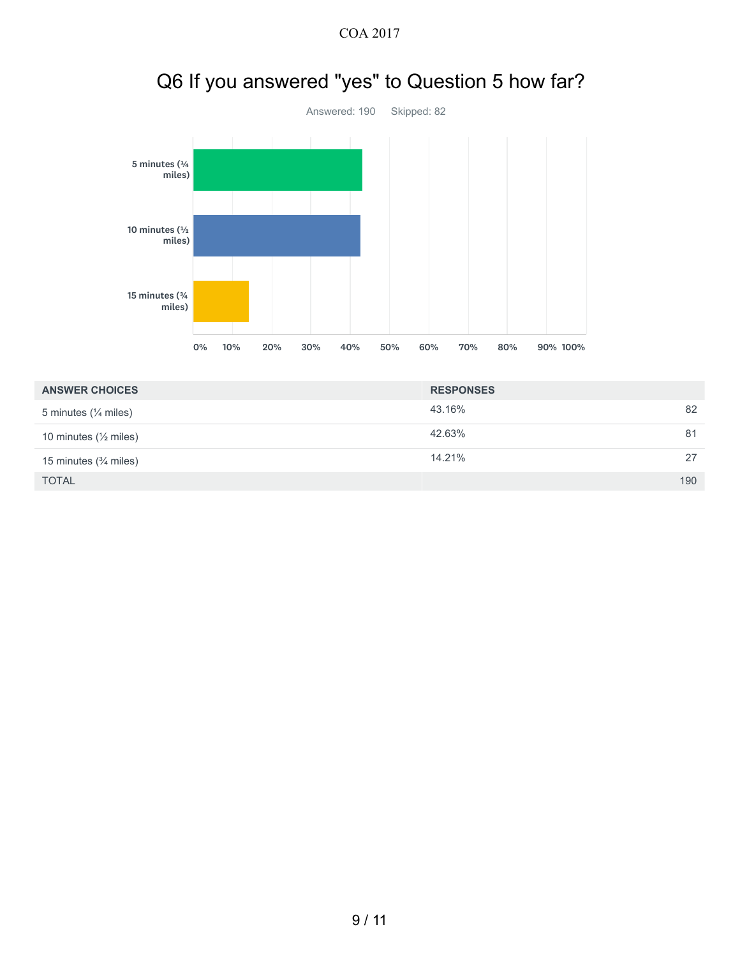

# Q6 If you answered "yes" to Question 5 how far?

| <b>ANSWER CHOICES</b>                | <b>RESPONSES</b> |     |
|--------------------------------------|------------------|-----|
| 5 minutes $($ / $\frac{1}{4}$ miles) | 43.16%           | 82  |
| 10 minutes $(\frac{1}{2})$ miles)    | 42.63%           | 81  |
| 15 minutes $($ $\frac{3}{4}$ miles)  | 14.21%           | 27  |
| <b>TOTAL</b>                         |                  | 190 |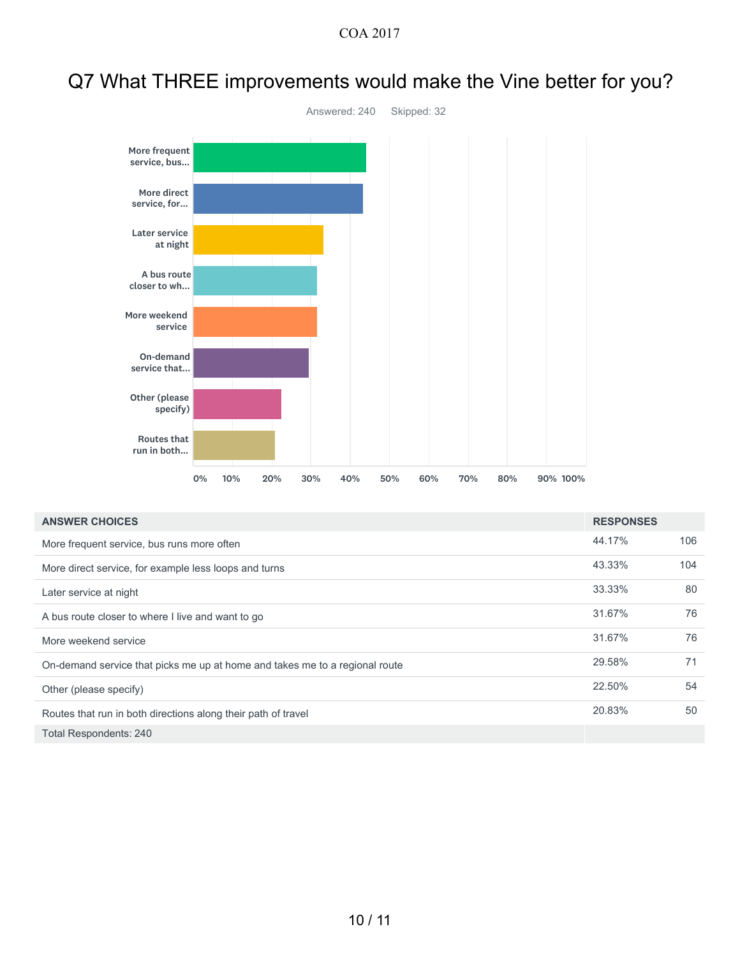### Q7 What THREE improvements would make the Vine better for you?



| <b>ANSWER CHOICES</b>                                                       | <b>RESPONSES</b> |     |
|-----------------------------------------------------------------------------|------------------|-----|
| More frequent service, bus runs more often                                  | 44.17%           | 106 |
| More direct service, for example less loops and turns                       | 43.33%           | 104 |
| Later service at night                                                      | 33.33%           | 80  |
| A bus route closer to where I live and want to go                           | 31.67%           | 76  |
| More weekend service                                                        | 31.67%           | 76  |
| On-demand service that picks me up at home and takes me to a regional route | 29.58%           | 71  |
| Other (please specify)                                                      | 22.50%           | 54  |
| Routes that run in both directions along their path of travel               | 20.83%           | 50  |
|                                                                             |                  |     |

Total Respondents: 240